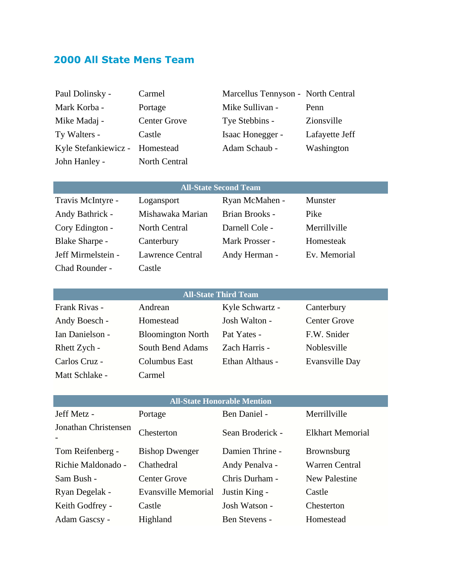# **2000 All State Mens Team**

| Paul Dolinsky -                | Carmel              | Marcellus Tennyson - North Central |                |
|--------------------------------|---------------------|------------------------------------|----------------|
| Mark Korba -                   | Portage             | Mike Sullivan -                    | Penn           |
| Mike Madaj -                   | <b>Center Grove</b> | Tye Stebbins -                     | Zionsville     |
| Ty Walters -                   | Castle              | Isaac Honegger -                   | Lafayette Jeff |
| Kyle Stefankiewicz - Homestead |                     | Adam Schaub -                      | Washington     |
| John Hanley -                  | North Central       |                                    |                |

| <b>All-State Second Team</b> |                         |                |                |
|------------------------------|-------------------------|----------------|----------------|
| Travis McIntyre -            | Logansport              | Ryan McMahen - | <b>Munster</b> |
| Andy Bathrick -              | Mishawaka Marian        | Brian Brooks - | Pike           |
| Cory Edington -              | <b>North Central</b>    | Darnell Cole - | Merrillville   |
| Blake Sharpe -               | Canterbury              | Mark Prosser - | Homesteak      |
| Jeff Mirmelstein -           | <b>Lawrence Central</b> | Andy Herman -  | Ev. Memorial   |
| Chad Rounder -               | Castle                  |                |                |

### **All-State Third Team**

| Frank Rivas -   | Andrean                  | Kyle Schwartz - | Canterbury          |
|-----------------|--------------------------|-----------------|---------------------|
| Andy Boesch -   | Homestead                | Josh Walton -   | <b>Center Grove</b> |
| Ian Danielson - | <b>Bloomington North</b> | Pat Yates -     | F.W. Snider         |
| Rhett Zych -    | South Bend Adams         | Zach Harris -   | Noblesville         |
| Carlos Cruz -   | Columbus East            | Ethan Althaus - | Evansville Day      |
| Matt Schlake -  | Carmel                   |                 |                     |

| <b>All-State Honorable Mention</b> |                            |                      |                         |  |
|------------------------------------|----------------------------|----------------------|-------------------------|--|
| Jeff Metz -                        | Portage                    | Ben Daniel -         | Merrillville            |  |
| Jonathan Christensen               | Chesterton                 | Sean Broderick -     | <b>Elkhart Memorial</b> |  |
| Tom Reifenberg -                   | <b>Bishop Dwenger</b>      | Damien Thrine -      | <b>Brownsburg</b>       |  |
| Richie Maldonado -                 | Chathedral                 | Andy Penalva -       | Warren Central          |  |
| Sam Bush -                         | <b>Center Grove</b>        | Chris Durham -       | <b>New Palestine</b>    |  |
| Ryan Degelak -                     | <b>Evansville Memorial</b> | Justin King -        | Castle                  |  |
| Keith Godfrey -                    | Castle                     | Josh Watson -        | Chesterton              |  |
| Adam Gascsy -                      | Highland                   | <b>Ben Stevens -</b> | Homestead               |  |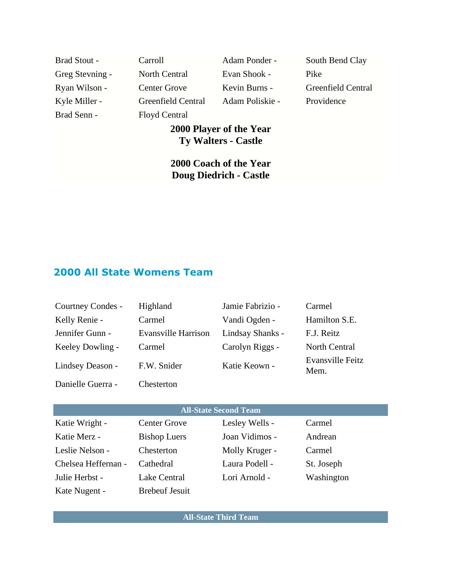| <b>Brad Stout -</b> | Carroll             | Adam Ponder -   | South Bend Clay    |
|---------------------|---------------------|-----------------|--------------------|
| Greg Stevning -     | North Central       | Evan Shook -    | Pike               |
| Ryan Wilson -       | <b>Center Grove</b> | Kevin Burns -   | Greenfield Central |
| Kyle Miller -       | Greenfield Central  | Adam Poliskie - | Providence         |
| Brad Senn -         | Floyd Central       |                 |                    |

## **2000 Player of the Year Ty Walters - Castle**

**2000 Coach of the Year Doug Diedrich - Castle**

## **2000 All State Womens Team**

| Courtney Condes -            | Highland                   | Jamie Fabrizio - | Carmel                   |
|------------------------------|----------------------------|------------------|--------------------------|
| Kelly Renie -                | Carmel                     | Vandi Ogden -    | Hamilton S.E.            |
| Jennifer Gunn -              | <b>Evansville Harrison</b> | Lindsay Shanks - | F.J. Reitz               |
| Keeley Dowling -             | Carmel                     | Carolyn Riggs -  | North Central            |
| Lindsey Deason -             | F.W. Snider                | Katie Keown -    | Evansville Feitz<br>Mem. |
| Danielle Guerra -            | Chesterton                 |                  |                          |
|                              |                            |                  |                          |
| <b>All-State Second Team</b> |                            |                  |                          |
| Katie Wright -               | <b>Center Grove</b>        | Lesley Wells -   | Carmel                   |

| IXANU WIILIN -      | CUIRT OIOVU           | $L \cup SLY$ <i>Wells</i> – | Camer      |
|---------------------|-----------------------|-----------------------------|------------|
| Katie Merz -        | <b>Bishop Luers</b>   | Joan Vidimos -              | Andrean    |
| Leslie Nelson -     | Chesterton            | Molly Kruger -              | Carmel     |
| Chelsea Heffernan - | Cathedral             | Laura Podell -              | St. Joseph |
| Julie Herbst -      | Lake Central          | Lori Arnold -               | Washington |
| Kate Nugent -       | <b>Brebeuf Jesuit</b> |                             |            |

**All-State Third Team**